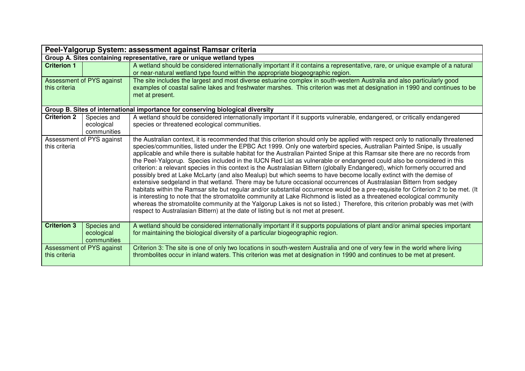| Peel-Yalgorup System: assessment against Ramsar criteria                       |                                                                                                                                                                                                                                                                                                                                                                                                                                                                                                                                                                                                                                                                                                                                                                                                                                                                                                                                                                                                                                                                                                                                                                                                                                                                                                                                                                                     |  |  |
|--------------------------------------------------------------------------------|-------------------------------------------------------------------------------------------------------------------------------------------------------------------------------------------------------------------------------------------------------------------------------------------------------------------------------------------------------------------------------------------------------------------------------------------------------------------------------------------------------------------------------------------------------------------------------------------------------------------------------------------------------------------------------------------------------------------------------------------------------------------------------------------------------------------------------------------------------------------------------------------------------------------------------------------------------------------------------------------------------------------------------------------------------------------------------------------------------------------------------------------------------------------------------------------------------------------------------------------------------------------------------------------------------------------------------------------------------------------------------------|--|--|
| Group A. Sites containing representative, rare or unique wetland types         |                                                                                                                                                                                                                                                                                                                                                                                                                                                                                                                                                                                                                                                                                                                                                                                                                                                                                                                                                                                                                                                                                                                                                                                                                                                                                                                                                                                     |  |  |
| <b>Criterion 1</b>                                                             | A wetland should be considered internationally important if it contains a representative, rare, or unique example of a natural                                                                                                                                                                                                                                                                                                                                                                                                                                                                                                                                                                                                                                                                                                                                                                                                                                                                                                                                                                                                                                                                                                                                                                                                                                                      |  |  |
|                                                                                | or near-natural wetland type found within the appropriate biogeographic region.                                                                                                                                                                                                                                                                                                                                                                                                                                                                                                                                                                                                                                                                                                                                                                                                                                                                                                                                                                                                                                                                                                                                                                                                                                                                                                     |  |  |
| Assessment of PYS against                                                      | The site includes the largest and most diverse estuarine complex in south-western Australia and also particularly good                                                                                                                                                                                                                                                                                                                                                                                                                                                                                                                                                                                                                                                                                                                                                                                                                                                                                                                                                                                                                                                                                                                                                                                                                                                              |  |  |
| this criteria                                                                  | examples of coastal saline lakes and freshwater marshes. This criterion was met at designation in 1990 and continues to be                                                                                                                                                                                                                                                                                                                                                                                                                                                                                                                                                                                                                                                                                                                                                                                                                                                                                                                                                                                                                                                                                                                                                                                                                                                          |  |  |
|                                                                                | met at present.                                                                                                                                                                                                                                                                                                                                                                                                                                                                                                                                                                                                                                                                                                                                                                                                                                                                                                                                                                                                                                                                                                                                                                                                                                                                                                                                                                     |  |  |
|                                                                                |                                                                                                                                                                                                                                                                                                                                                                                                                                                                                                                                                                                                                                                                                                                                                                                                                                                                                                                                                                                                                                                                                                                                                                                                                                                                                                                                                                                     |  |  |
| Group B. Sites of international importance for conserving biological diversity |                                                                                                                                                                                                                                                                                                                                                                                                                                                                                                                                                                                                                                                                                                                                                                                                                                                                                                                                                                                                                                                                                                                                                                                                                                                                                                                                                                                     |  |  |
| <b>Criterion 2</b><br>Species and                                              | A wetland should be considered internationally important if it supports vulnerable, endangered, or critically endangered                                                                                                                                                                                                                                                                                                                                                                                                                                                                                                                                                                                                                                                                                                                                                                                                                                                                                                                                                                                                                                                                                                                                                                                                                                                            |  |  |
| ecological                                                                     | species or threatened ecological communities.                                                                                                                                                                                                                                                                                                                                                                                                                                                                                                                                                                                                                                                                                                                                                                                                                                                                                                                                                                                                                                                                                                                                                                                                                                                                                                                                       |  |  |
| communities                                                                    |                                                                                                                                                                                                                                                                                                                                                                                                                                                                                                                                                                                                                                                                                                                                                                                                                                                                                                                                                                                                                                                                                                                                                                                                                                                                                                                                                                                     |  |  |
| Assessment of PYS against<br>this criteria                                     | the Australian context, it is recommended that this criterion should only be applied with respect only to nationally threatened<br>species/communities, listed under the EPBC Act 1999. Only one waterbird species, Australian Painted Snipe, is usually<br>applicable and while there is suitable habitat for the Australian Painted Snipe at this Ramsar site there are no records from<br>the Peel-Yalgorup. Species included in the IUCN Red List as vulnerable or endangered could also be considered in this<br>criterion: a relevant species in this context is the Australasian Bittern (globally Endangered), which formerly occurred and<br>possibly bred at Lake McLarty (and also Mealup) but which seems to have become locally extinct with the demise of<br>extensive sedgeland in that wetland. There may be future occasional occurrences of Australasian Bittern from sedgey<br>habitats within the Ramsar site but regular and/or substantial occurrence would be a pre-requisite for Criterion 2 to be met. (It<br>is interesting to note that the stromatolite community at Lake Richmond is listed as a threatened ecological community<br>whereas the stromatolite community at the Yalgorup Lakes is not so listed.) Therefore, this criterion probably was met (with<br>respect to Australasian Bittern) at the date of listing but is not met at present. |  |  |
| <b>Criterion 3</b><br>Species and<br>ecological<br>communities                 | A wetland should be considered internationally important if it supports populations of plant and/or animal species important<br>for maintaining the biological diversity of a particular biogeographic region.                                                                                                                                                                                                                                                                                                                                                                                                                                                                                                                                                                                                                                                                                                                                                                                                                                                                                                                                                                                                                                                                                                                                                                      |  |  |
| Assessment of PYS against<br>this criteria                                     | Criterion 3: The site is one of only two locations in south-western Australia and one of very few in the world where living<br>thrombolites occur in inland waters. This criterion was met at designation in 1990 and continues to be met at present.                                                                                                                                                                                                                                                                                                                                                                                                                                                                                                                                                                                                                                                                                                                                                                                                                                                                                                                                                                                                                                                                                                                               |  |  |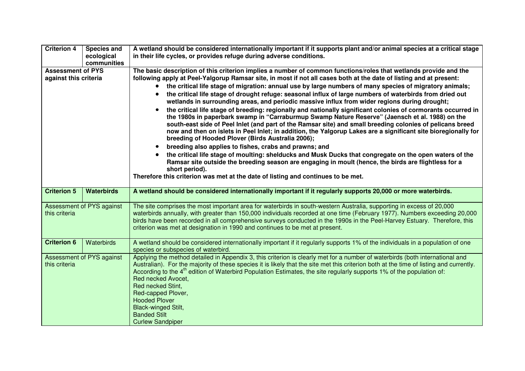| <b>Criterion 4</b>                                | <b>Species and</b>                      | A wetland should be considered internationally important if it supports plant and/or animal species at a critical stage                                                                                                                                                                                                                                                                                                                                                                                                                                                                                                                                                                                                                                                                                                                                                                                                   |
|---------------------------------------------------|-----------------------------------------|---------------------------------------------------------------------------------------------------------------------------------------------------------------------------------------------------------------------------------------------------------------------------------------------------------------------------------------------------------------------------------------------------------------------------------------------------------------------------------------------------------------------------------------------------------------------------------------------------------------------------------------------------------------------------------------------------------------------------------------------------------------------------------------------------------------------------------------------------------------------------------------------------------------------------|
|                                                   | ecological                              | in their life cycles, or provides refuge during adverse conditions.                                                                                                                                                                                                                                                                                                                                                                                                                                                                                                                                                                                                                                                                                                                                                                                                                                                       |
|                                                   | communities                             |                                                                                                                                                                                                                                                                                                                                                                                                                                                                                                                                                                                                                                                                                                                                                                                                                                                                                                                           |
| <b>Assessment of PYS</b><br>against this criteria |                                         | The basic description of this criterion implies a number of common functions/roles that wetlands provide and the<br>following apply at Peel-Yalgorup Ramsar site, in most if not all cases both at the date of listing and at present:<br>the critical life stage of migration: annual use by large numbers of many species of migratory animals;<br>the critical life stage of drought refuge: seasonal influx of large numbers of waterbirds from dried out<br>$\bullet$<br>wetlands in surrounding areas, and periodic massive influx from wider regions during drought;<br>the critical life stage of breeding: regionally and nationally significant colonies of cormorants occurred in<br>$\bullet$<br>the 1980s in paperbark swamp in "Carraburmup Swamp Nature Reserve" (Jaensch et al. 1988) on the<br>south-east side of Peel Inlet (and part of the Ramsar site) and small breeding colonies of pelicans breed |
|                                                   |                                         | now and then on islets in Peel Inlet; in addition, the Yalgorup Lakes are a significant site bioregionally for<br>breeding of Hooded Plover (Birds Australia 2006);<br>breeding also applies to fishes, crabs and prawns; and<br>$\bullet$                                                                                                                                                                                                                                                                                                                                                                                                                                                                                                                                                                                                                                                                                |
|                                                   |                                         | the critical life stage of moulting: shelducks and Musk Ducks that congregate on the open waters of the<br>$\bullet$<br>Ramsar site outside the breeding season are engaging in moult (hence, the birds are flightless for a<br>short period).<br>Therefore this criterion was met at the date of listing and continues to be met.                                                                                                                                                                                                                                                                                                                                                                                                                                                                                                                                                                                        |
|                                                   |                                         |                                                                                                                                                                                                                                                                                                                                                                                                                                                                                                                                                                                                                                                                                                                                                                                                                                                                                                                           |
| <b>Criterion 5</b>                                | <b>Waterbirds</b>                       | A wetland should be considered internationally important if it regularly supports 20,000 or more waterbirds.                                                                                                                                                                                                                                                                                                                                                                                                                                                                                                                                                                                                                                                                                                                                                                                                              |
|                                                   |                                         |                                                                                                                                                                                                                                                                                                                                                                                                                                                                                                                                                                                                                                                                                                                                                                                                                                                                                                                           |
| this criteria                                     | Assessment of PYS against               | The site comprises the most important area for waterbirds in south-western Australia, supporting in excess of 20,000<br>waterbirds annually, with greater than 150,000 individuals recorded at one time (February 1977). Numbers exceeding 20,000<br>birds have been recorded in all comprehensive surveys conducted in the 1990s in the Peel-Harvey Estuary. Therefore, this<br>criterion was met at designation in 1990 and continues to be met at present.                                                                                                                                                                                                                                                                                                                                                                                                                                                             |
| <b>Criterion 6</b>                                | Waterbirds<br>Assessment of PYS against | A wetland should be considered internationally important if it regularly supports 1% of the individuals in a population of one<br>species or subspecies of waterbird.<br>Applying the method detailed in Appendix 3, this criterion is clearly met for a number of waterbirds (both international and                                                                                                                                                                                                                                                                                                                                                                                                                                                                                                                                                                                                                     |